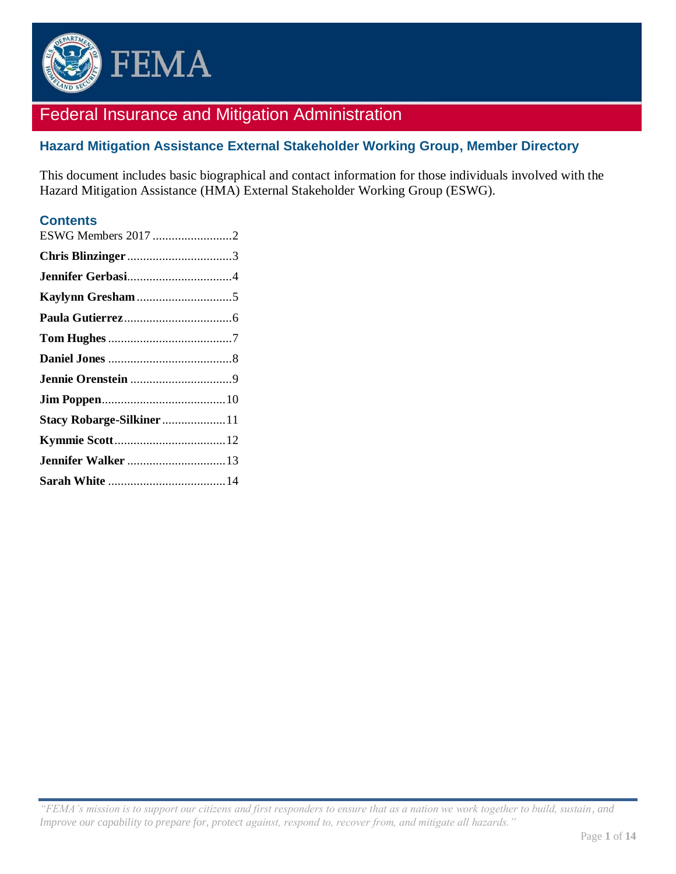

# Federal Insurance and Mitigation Administration

# **Hazard Mitigation Assistance External Stakeholder Working Group, Member Directory**

This document includes basic biographical and contact information for those individuals involved with the Hazard Mitigation Assistance (HMA) External Stakeholder Working Group (ESWG).

### **Contents**

| ESWG Members 2017 2      |  |
|--------------------------|--|
|                          |  |
|                          |  |
|                          |  |
|                          |  |
|                          |  |
|                          |  |
|                          |  |
|                          |  |
| Stacy Robarge-Silkiner11 |  |
|                          |  |
|                          |  |
|                          |  |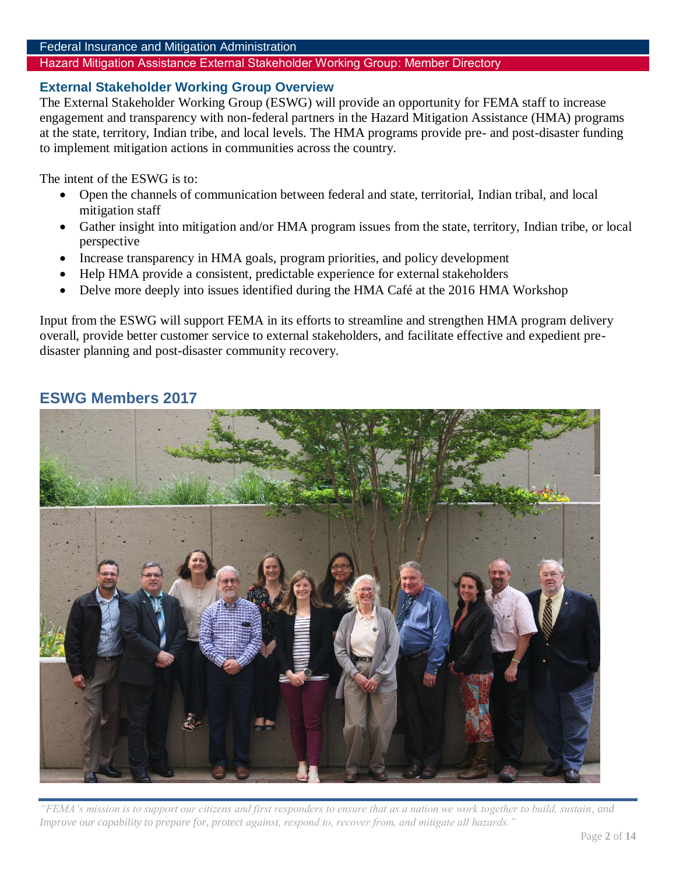#### Federal Insurance and Mitigation Administration

#### Hazard Mitigation Assistance External Stakeholder Working Group: Member Directory

#### **External Stakeholder Working Group Overview**

The External Stakeholder Working Group (ESWG) will provide an opportunity for FEMA staff to increase engagement and transparency with non-federal partners in the Hazard Mitigation Assistance (HMA) programs at the state, territory, Indian tribe, and local levels. The HMA programs provide pre- and post-disaster funding to implement mitigation actions in communities across the country.

The intent of the ESWG is to:

- Open the channels of communication between federal and state, territorial, Indian tribal, and local mitigation staff
- Gather insight into mitigation and/or HMA program issues from the state, territory, Indian tribe, or local perspective
- Increase transparency in HMA goals, program priorities, and policy development
- Help HMA provide a consistent, predictable experience for external stakeholders
- Delve more deeply into issues identified during the HMA Café at the 2016 HMA Workshop

Input from the ESWG will support FEMA in its efforts to streamline and strengthen HMA program delivery overall, provide better customer service to external stakeholders, and facilitate effective and expedient predisaster planning and post-disaster community recovery.

# <span id="page-1-0"></span>**ESWG Members 2017**



*"FEMA's mission is to support our citizens and first responders to ensure that as a nation we work together to build, sustain, and Improve our capability to prepare for, protect against, respond to, recover from, and mitigate all hazards."*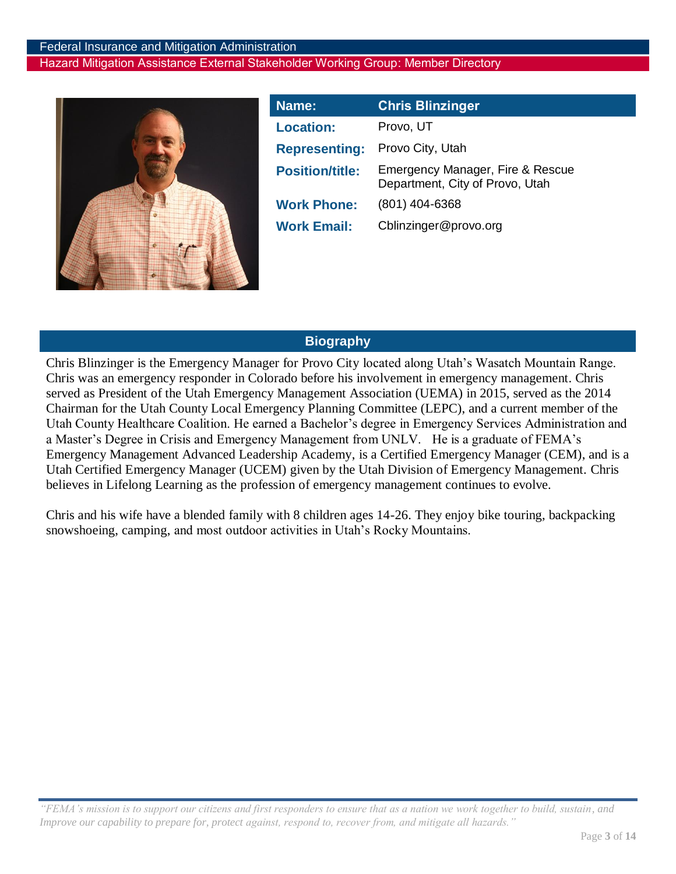

<span id="page-2-0"></span>

| Name:                  | <b>Chris Blinzinger</b>                                             |
|------------------------|---------------------------------------------------------------------|
| <b>Location:</b>       | Provo, UT                                                           |
| <b>Representing:</b>   | Provo City, Utah                                                    |
| <b>Position/title:</b> | Emergency Manager, Fire & Rescue<br>Department, City of Provo, Utah |
| <b>Work Phone:</b>     | $(801)$ 404-6368                                                    |
| <b>Work Email:</b>     | Cblinzinger@provo.org                                               |

# **Biography**

Chris Blinzinger is the Emergency Manager for Provo City located along Utah's Wasatch Mountain Range. Chris was an emergency responder in Colorado before his involvement in emergency management. Chris served as President of the Utah Emergency Management Association (UEMA) in 2015, served as the 2014 Chairman for the Utah County Local Emergency Planning Committee (LEPC), and a current member of the Utah County Healthcare Coalition. He earned a Bachelor's degree in Emergency Services Administration and a Master's Degree in Crisis and Emergency Management from UNLV. He is a graduate of FEMA's Emergency Management Advanced Leadership Academy, is a Certified Emergency Manager (CEM), and is a Utah Certified Emergency Manager (UCEM) given by the Utah Division of Emergency Management. Chris believes in Lifelong Learning as the profession of emergency management continues to evolve.

Chris and his wife have a blended family with 8 children ages 14-26. They enjoy bike touring, backpacking snowshoeing, camping, and most outdoor activities in Utah's Rocky Mountains.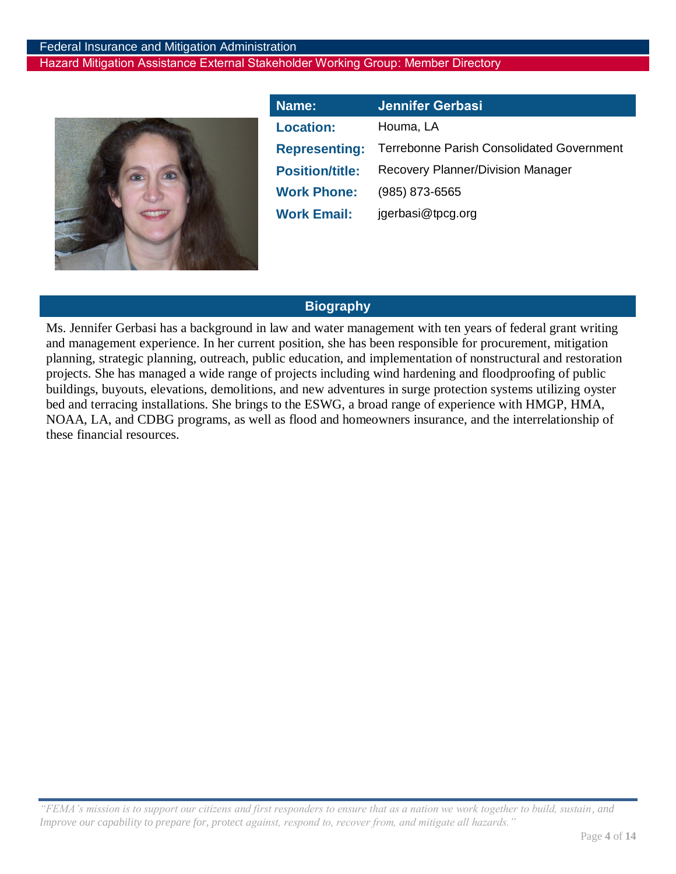

<span id="page-3-0"></span>

| Name:                  | <b>Jennifer Gerbasi</b>                          |
|------------------------|--------------------------------------------------|
| <b>Location:</b>       | Houma, LA                                        |
| <b>Representing:</b>   | <b>Terrebonne Parish Consolidated Government</b> |
| <b>Position/title:</b> | <b>Recovery Planner/Division Manager</b>         |
| <b>Work Phone:</b>     | $(985) 873 - 6565$                               |
| <b>Work Email:</b>     | jgerbasi@tpcg.org                                |

### **Biography**

Ms. Jennifer Gerbasi has a background in law and water management with ten years of federal grant writing and management experience. In her current position, she has been responsible for procurement, mitigation planning, strategic planning, outreach, public education, and implementation of nonstructural and restoration projects. She has managed a wide range of projects including wind hardening and floodproofing of public buildings, buyouts, elevations, demolitions, and new adventures in surge protection systems utilizing oyster bed and terracing installations. She brings to the ESWG, a broad range of experience with HMGP, HMA, NOAA, LA, and CDBG programs, as well as flood and homeowners insurance, and the interrelationship of these financial resources.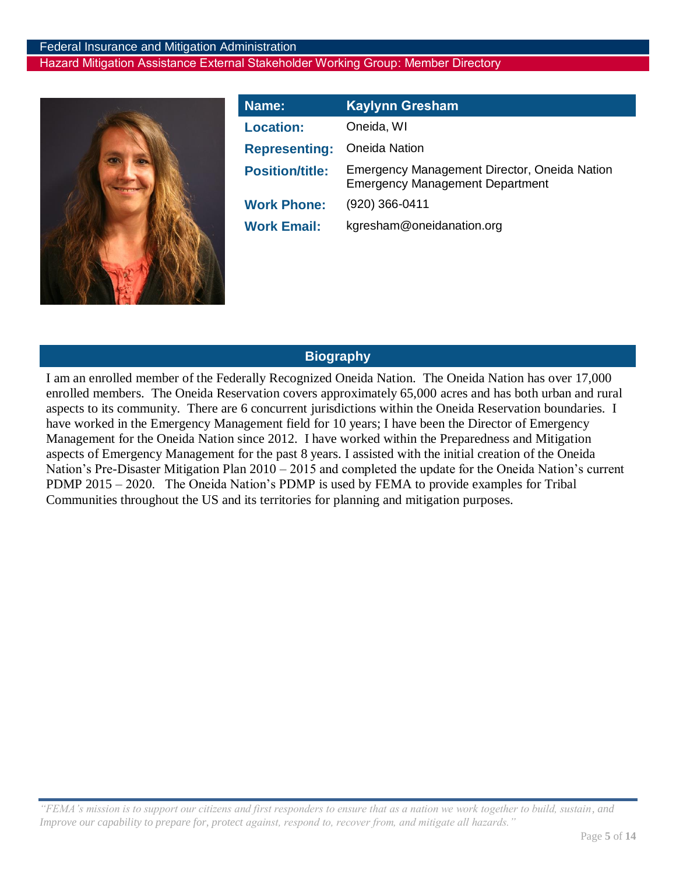

<span id="page-4-0"></span>

| Name:                  | <b>Kaylynn Gresham</b>                                                                 |
|------------------------|----------------------------------------------------------------------------------------|
| <b>Location:</b>       | Oneida, WI                                                                             |
| <b>Representing:</b>   | <b>Oneida Nation</b>                                                                   |
| <b>Position/title:</b> | Emergency Management Director, Oneida Nation<br><b>Emergency Management Department</b> |
| <b>Work Phone:</b>     | $(920)$ 366-0411                                                                       |
| <b>Work Email:</b>     | kgresham@oneidanation.org                                                              |

### **Biography**

I am an enrolled member of the Federally Recognized Oneida Nation. The Oneida Nation has over 17,000 enrolled members. The Oneida Reservation covers approximately 65,000 acres and has both urban and rural aspects to its community. There are 6 concurrent jurisdictions within the Oneida Reservation boundaries. I have worked in the Emergency Management field for 10 years; I have been the Director of Emergency Management for the Oneida Nation since 2012. I have worked within the Preparedness and Mitigation aspects of Emergency Management for the past 8 years. I assisted with the initial creation of the Oneida Nation's Pre-Disaster Mitigation Plan 2010 – 2015 and completed the update for the Oneida Nation's current PDMP 2015 – 2020. The Oneida Nation's PDMP is used by FEMA to provide examples for Tribal Communities throughout the US and its territories for planning and mitigation purposes.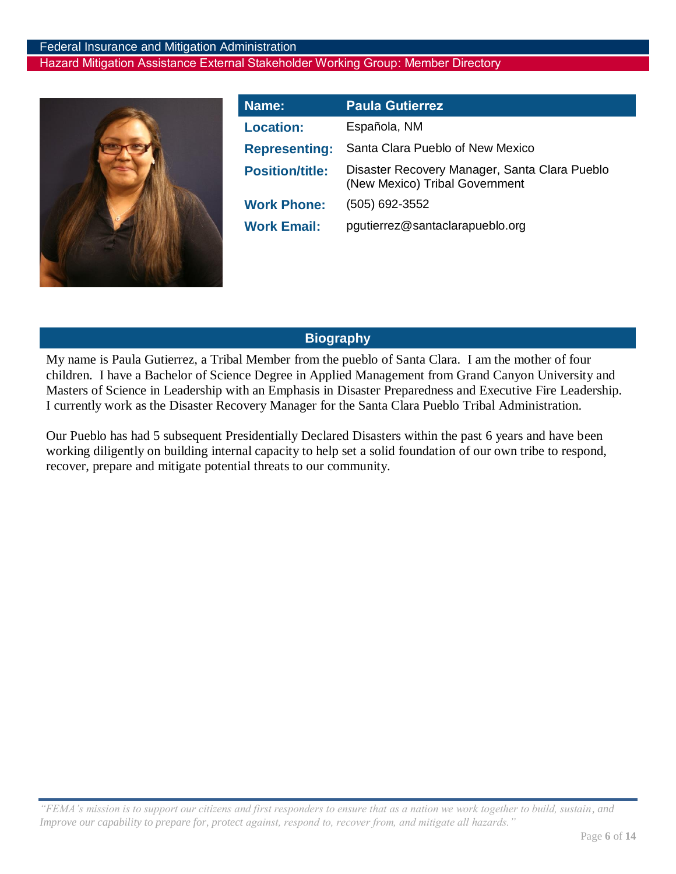

<span id="page-5-0"></span>

| Name:                  | <b>Paula Gutierrez</b>                                                          |
|------------------------|---------------------------------------------------------------------------------|
| <b>Location:</b>       | Española, NM                                                                    |
| <b>Representing:</b>   | Santa Clara Pueblo of New Mexico                                                |
| <b>Position/title:</b> | Disaster Recovery Manager, Santa Clara Pueblo<br>(New Mexico) Tribal Government |
| <b>Work Phone:</b>     | (505) 692-3552                                                                  |
| <b>Work Email:</b>     | pgutierrez@santaclarapueblo.org                                                 |

### **Biography**

My name is Paula Gutierrez, a Tribal Member from the pueblo of Santa Clara. I am the mother of four children. I have a Bachelor of Science Degree in Applied Management from Grand Canyon University and Masters of Science in Leadership with an Emphasis in Disaster Preparedness and Executive Fire Leadership. I currently work as the Disaster Recovery Manager for the Santa Clara Pueblo Tribal Administration.

Our Pueblo has had 5 subsequent Presidentially Declared Disasters within the past 6 years and have been working diligently on building internal capacity to help set a solid foundation of our own tribe to respond, recover, prepare and mitigate potential threats to our community.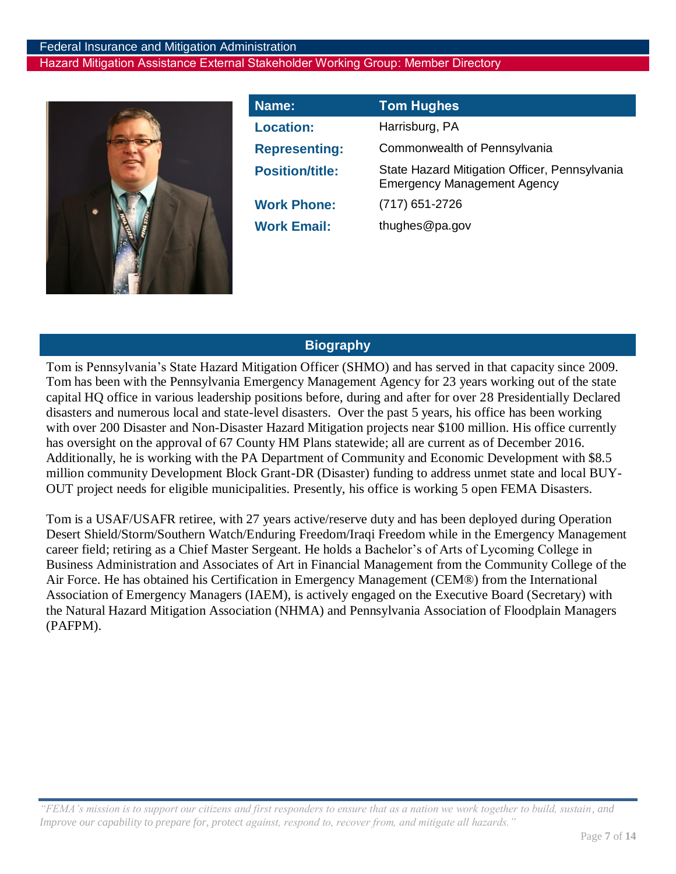

<span id="page-6-0"></span>

| Name:                  | <b>Tom Hughes</b>                                                                   |
|------------------------|-------------------------------------------------------------------------------------|
| <b>Location:</b>       | Harrisburg, PA                                                                      |
| <b>Representing:</b>   | Commonwealth of Pennsylvania                                                        |
| <b>Position/title:</b> | State Hazard Mitigation Officer, Pennsylvania<br><b>Emergency Management Agency</b> |
| <b>Work Phone:</b>     | $(717)$ 651-2726                                                                    |
| <b>Work Email:</b>     | thughes@pa.gov                                                                      |

# **Biography**

Tom is Pennsylvania's State Hazard Mitigation Officer (SHMO) and has served in that capacity since 2009. Tom has been with the Pennsylvania Emergency Management Agency for 23 years working out of the state capital HQ office in various leadership positions before, during and after for over 28 Presidentially Declared disasters and numerous local and state-level disasters. Over the past 5 years, his office has been working with over 200 Disaster and Non-Disaster Hazard Mitigation projects near \$100 million. His office currently has oversight on the approval of 67 County HM Plans statewide; all are current as of December 2016. Additionally, he is working with the PA Department of Community and Economic Development with \$8.5 million community Development Block Grant-DR (Disaster) funding to address unmet state and local BUY-OUT project needs for eligible municipalities. Presently, his office is working 5 open FEMA Disasters.

Tom is a USAF/USAFR retiree, with 27 years active/reserve duty and has been deployed during Operation Desert Shield/Storm/Southern Watch/Enduring Freedom/Iraqi Freedom while in the Emergency Management career field; retiring as a Chief Master Sergeant. He holds a Bachelor's of Arts of Lycoming College in Business Administration and Associates of Art in Financial Management from the Community College of the Air Force. He has obtained his Certification in Emergency Management (CEM®) from the International Association of Emergency Managers (IAEM), is actively engaged on the Executive Board (Secretary) with the Natural Hazard Mitigation Association (NHMA) and Pennsylvania Association of Floodplain Managers (PAFPM).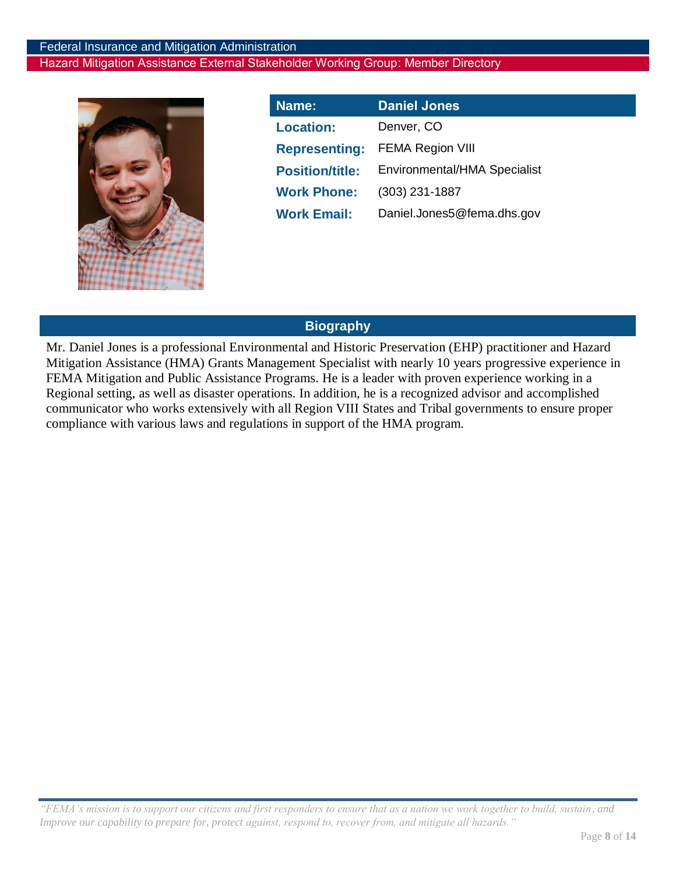

<span id="page-7-0"></span>

| Name:                  | <b>Daniel Jones</b>          |
|------------------------|------------------------------|
| <b>Location:</b>       | Denver, CO                   |
| <b>Representing:</b>   | <b>FEMA Region VIII</b>      |
| <b>Position/title:</b> | Environmental/HMA Specialist |
| <b>Work Phone:</b>     | $(303)$ 231-1887             |
| <b>Work Email:</b>     | Daniel.Jones5@fema.dhs.gov   |

### **Biography**

Mr. Daniel Jones is a professional Environmental and Historic Preservation (EHP) practitioner and Hazard Mitigation Assistance (HMA) Grants Management Specialist with nearly 10 years progressive experience in FEMA Mitigation and Public Assistance Programs. He is a leader with proven experience working in a Regional setting, as well as disaster operations. In addition, he is a recognized advisor and accomplished communicator who works extensively with all Region VIII States and Tribal governments to ensure proper compliance with various laws and regulations in support of the HMA program.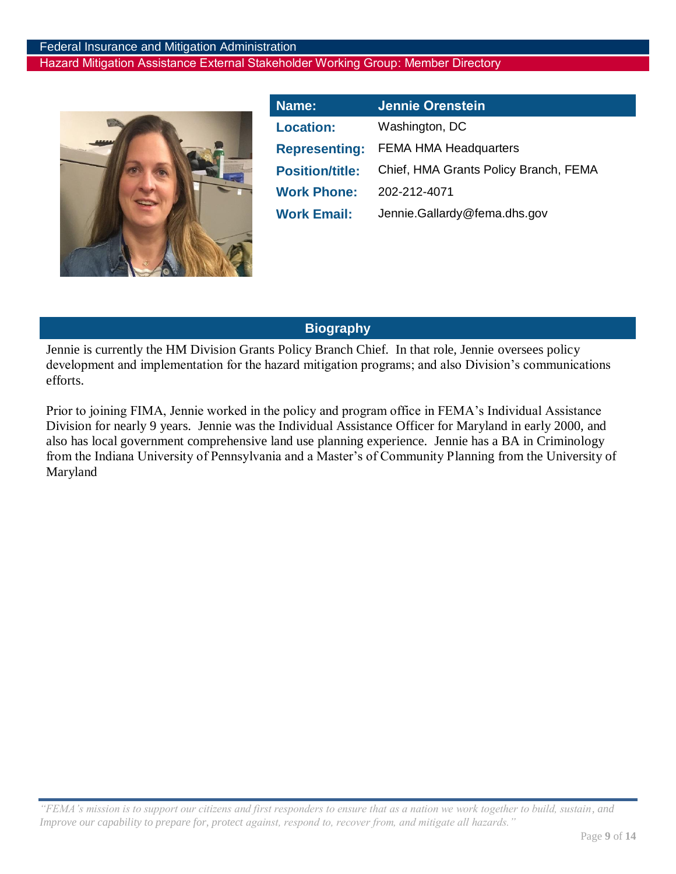

<span id="page-8-0"></span>

| Name:                  | Jennie Orenstein                      |
|------------------------|---------------------------------------|
| <b>Location:</b>       | Washington, DC                        |
| <b>Representing:</b>   | <b>FEMA HMA Headquarters</b>          |
| <b>Position/title:</b> | Chief, HMA Grants Policy Branch, FEMA |
| <b>Work Phone:</b>     | 202-212-4071                          |
| <b>Work Email:</b>     | Jennie.Gallardy@fema.dhs.gov          |

# **Biography**

Jennie is currently the HM Division Grants Policy Branch Chief. In that role, Jennie oversees policy development and implementation for the hazard mitigation programs; and also Division's communications efforts.

Prior to joining FIMA, Jennie worked in the policy and program office in FEMA's Individual Assistance Division for nearly 9 years. Jennie was the Individual Assistance Officer for Maryland in early 2000, and also has local government comprehensive land use planning experience. Jennie has a BA in Criminology from the Indiana University of Pennsylvania and a Master's of Community Planning from the University of Maryland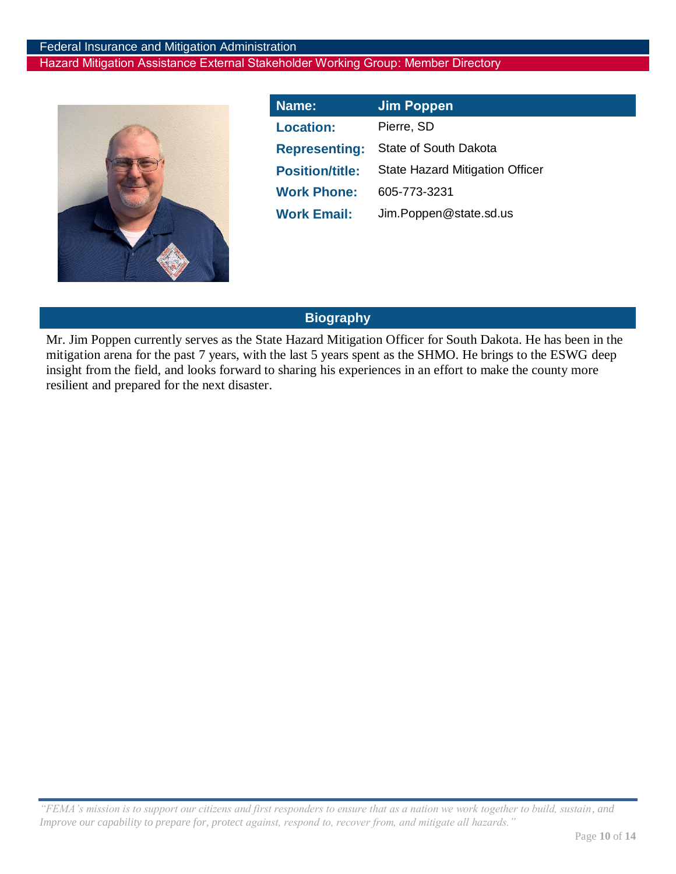

<span id="page-9-0"></span>

| Name:                  | <b>Jim Poppen</b>                      |
|------------------------|----------------------------------------|
| <b>Location:</b>       | Pierre, SD                             |
| <b>Representing:</b>   | State of South Dakota                  |
| <b>Position/title:</b> | <b>State Hazard Mitigation Officer</b> |
| <b>Work Phone:</b>     | 605-773-3231                           |
| <b>Work Email:</b>     | Jim.Poppen@state.sd.us                 |

# **Biography**

Mr. Jim Poppen currently serves as the State Hazard Mitigation Officer for South Dakota. He has been in the mitigation arena for the past 7 years, with the last 5 years spent as the SHMO. He brings to the ESWG deep insight from the field, and looks forward to sharing his experiences in an effort to make the county more resilient and prepared for the next disaster.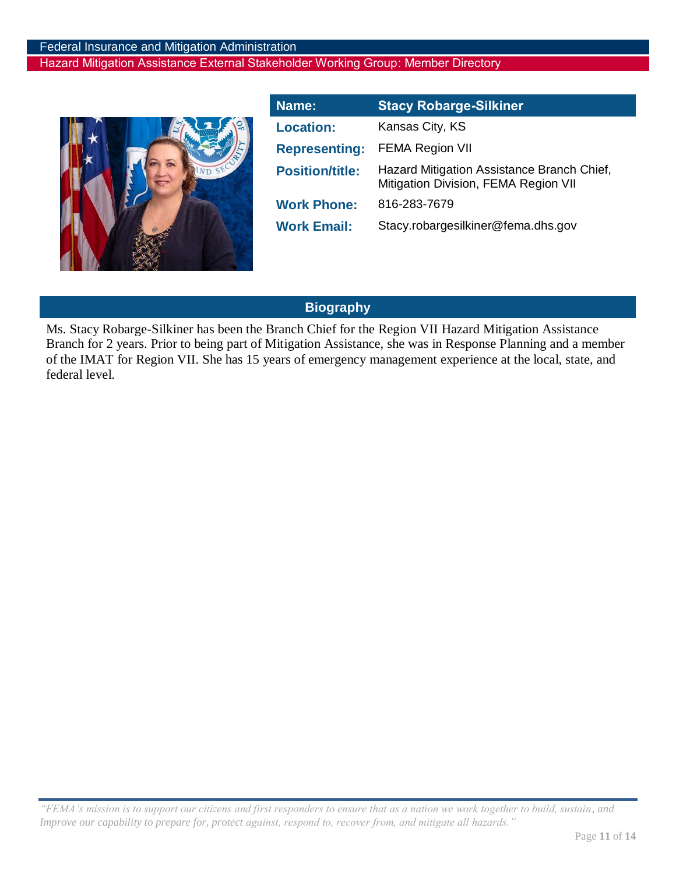

<span id="page-10-0"></span>

| Name:                  | <b>Stacy Robarge-Silkiner</b>                                                      |
|------------------------|------------------------------------------------------------------------------------|
| <b>Location:</b>       | Kansas City, KS                                                                    |
| <b>Representing:</b>   | <b>FEMA Region VII</b>                                                             |
| <b>Position/title:</b> | Hazard Mitigation Assistance Branch Chief,<br>Mitigation Division, FEMA Region VII |
| <b>Work Phone:</b>     | 816-283-7679                                                                       |
| <b>Work Email:</b>     | Stacy.robargesilkiner@fema.dhs.gov                                                 |

# **Biography**

Ms. Stacy Robarge-Silkiner has been the Branch Chief for the Region VII Hazard Mitigation Assistance Branch for 2 years. Prior to being part of Mitigation Assistance, she was in Response Planning and a member of the IMAT for Region VII. She has 15 years of emergency management experience at the local, state, and federal level.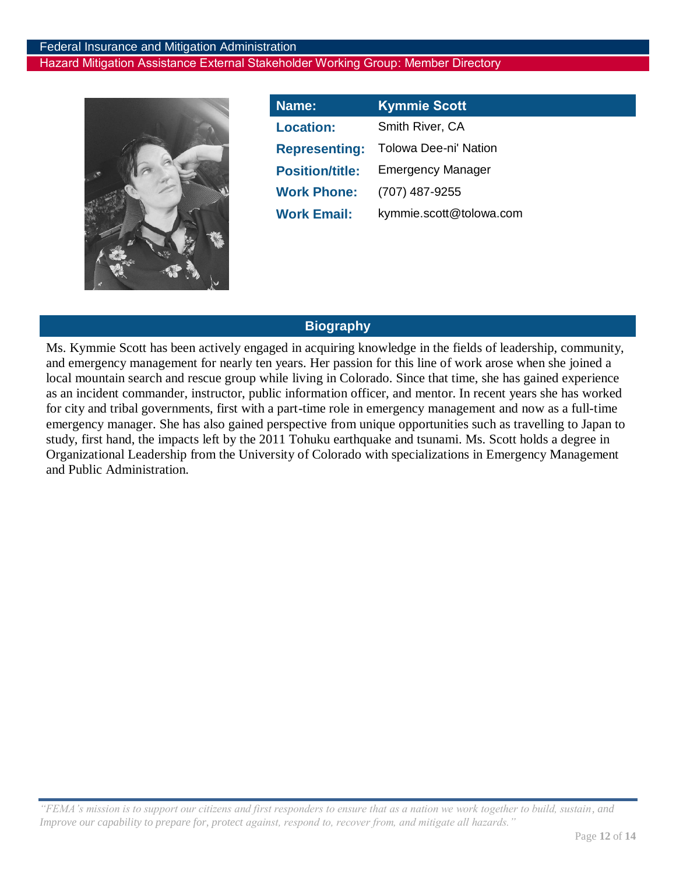

<span id="page-11-0"></span>

| Name:                  | <b>Kymmie Scott</b>      |
|------------------------|--------------------------|
| <b>Location:</b>       | Smith River, CA          |
| <b>Representing:</b>   | Tolowa Dee-ni' Nation    |
| <b>Position/title:</b> | <b>Emergency Manager</b> |
| <b>Work Phone:</b>     | (707) 487-9255           |
| <b>Work Email:</b>     | kymmie.scott@tolowa.com  |

### **Biography**

Ms. Kymmie Scott has been actively engaged in acquiring knowledge in the fields of leadership, community, and emergency management for nearly ten years. Her passion for this line of work arose when she joined a local mountain search and rescue group while living in Colorado. Since that time, she has gained experience as an incident commander, instructor, public information officer, and mentor. In recent years she has worked for city and tribal governments, first with a part-time role in emergency management and now as a full-time emergency manager. She has also gained perspective from unique opportunities such as travelling to Japan to study, first hand, the impacts left by the 2011 Tohuku earthquake and tsunami. Ms. Scott holds a degree in Organizational Leadership from the University of Colorado with specializations in Emergency Management and Public Administration.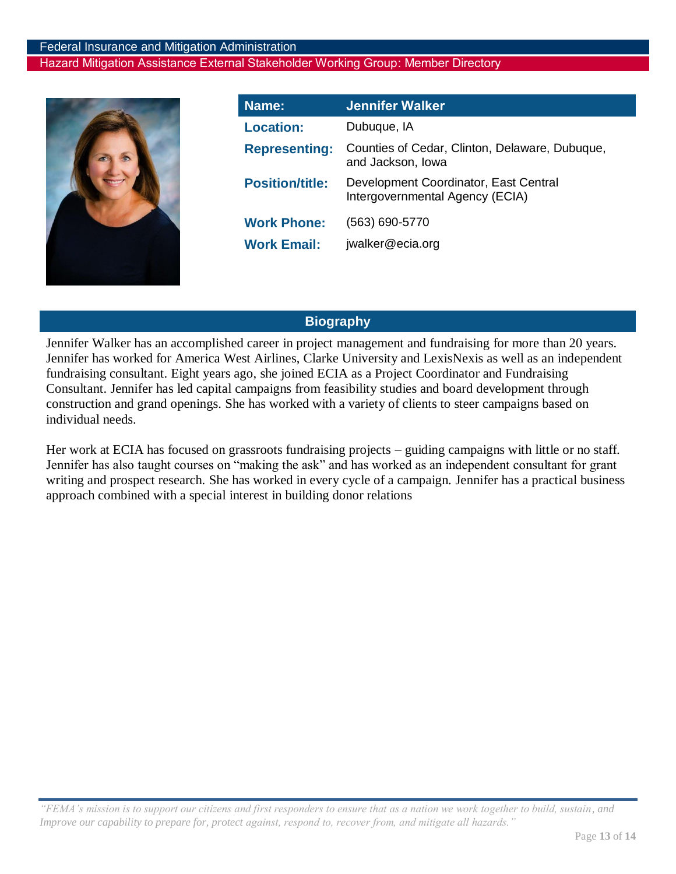

<span id="page-12-0"></span>

| Name:                                    | <b>Jennifer Walker</b>                                                   |
|------------------------------------------|--------------------------------------------------------------------------|
| <b>Location:</b>                         | Dubuque, IA                                                              |
| <b>Representing:</b>                     | Counties of Cedar, Clinton, Delaware, Dubuque,<br>and Jackson, lowa      |
| <b>Position/title:</b>                   | Development Coordinator, East Central<br>Intergovernmental Agency (ECIA) |
| <b>Work Phone:</b><br><b>Work Email:</b> | (563) 690-5770<br>jwalker@ecia.org                                       |
|                                          |                                                                          |

# **Biography**

Jennifer Walker has an accomplished career in project management and fundraising for more than 20 years. Jennifer has worked for America West Airlines, Clarke University and LexisNexis as well as an independent fundraising consultant. Eight years ago, she joined ECIA as a Project Coordinator and Fundraising Consultant. Jennifer has led capital campaigns from feasibility studies and board development through construction and grand openings. She has worked with a variety of clients to steer campaigns based on individual needs.

Her work at ECIA has focused on grassroots fundraising projects – guiding campaigns with little or no staff. Jennifer has also taught courses on "making the ask" and has worked as an independent consultant for grant writing and prospect research. She has worked in every cycle of a campaign. Jennifer has a practical business approach combined with a special interest in building donor relations